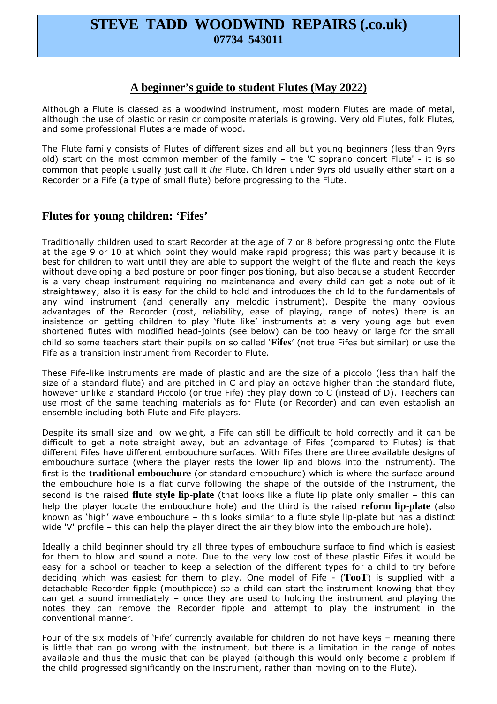# **STEVE TADD WOODWIND REPAIRS (.co.uk) 07734 543011**

### **A beginner's guide to student Flutes (May 2022)**

Although a Flute is classed as a woodwind instrument, most modern Flutes are made of metal, although the use of plastic or resin or composite materials is growing. Very old Flutes, folk Flutes, and some professional Flutes are made of wood.

The Flute family consists of Flutes of different sizes and all but young beginners (less than 9yrs old) start on the most common member of the family – the 'C soprano concert Flute' - it is so common that people usually just call it *the* Flute. Children under 9yrs old usually either start on a Recorder or a Fife (a type of small flute) before progressing to the Flute.

## **Flutes for young children: 'Fifes'**

Traditionally children used to start Recorder at the age of 7 or 8 before progressing onto the Flute at the age 9 or 10 at which point they would make rapid progress; this was partly because it is best for children to wait until they are able to support the weight of the flute and reach the keys without developing a bad posture or poor finger positioning, but also because a student Recorder is a very cheap instrument requiring no maintenance and every child can get a note out of it straightaway; also it is easy for the child to hold and introduces the child to the fundamentals of any wind instrument (and generally any melodic instrument). Despite the many obvious advantages of the Recorder (cost, reliability, ease of playing, range of notes) there is an insistence on getting children to play 'flute like' instruments at a very young age but even shortened flutes with modified head-joints (see below) can be too heavy or large for the small child so some teachers start their pupils on so called '**Fifes**' (not true Fifes but similar) or use the Fife as a transition instrument from Recorder to Flute.

These Fife-like instruments are made of plastic and are the size of a piccolo (less than half the size of a standard flute) and are pitched in C and play an octave higher than the standard flute, however unlike a standard Piccolo (or true Fife) they play down to C (instead of D). Teachers can use most of the same teaching materials as for Flute (or Recorder) and can even establish an ensemble including both Flute and Fife players.

Despite its small size and low weight, a Fife can still be difficult to hold correctly and it can be difficult to get a note straight away, but an advantage of Fifes (compared to Flutes) is that different Fifes have different embouchure surfaces. With Fifes there are three available designs of embouchure surface (where the player rests the lower lip and blows into the instrument). The first is the **traditional embouchure** (or standard embouchure) which is where the surface around the embouchure hole is a flat curve following the shape of the outside of the instrument, the second is the raised **flute style lip-plate** (that looks like a flute lip plate only smaller – this can help the player locate the embouchure hole) and the third is the raised **reform lip-plate** (also known as 'high' wave embouchure – this looks similar to a flute style lip-plate but has a distinct wide 'V' profile – this can help the player direct the air they blow into the embouchure hole).

Ideally a child beginner should try all three types of embouchure surface to find which is easiest for them to blow and sound a note. Due to the very low cost of these plastic Fifes it would be easy for a school or teacher to keep a selection of the different types for a child to try before deciding which was easiest for them to play. One model of Fife - (**TooT**) is supplied with a detachable Recorder fipple (mouthpiece) so a child can start the instrument knowing that they can get a sound immediately – once they are used to holding the instrument and playing the notes they can remove the Recorder fipple and attempt to play the instrument in the conventional manner.

Four of the six models of 'Fife' currently available for children do not have keys – meaning there is little that can go wrong with the instrument, but there is a limitation in the range of notes available and thus the music that can be played (although this would only become a problem if the child progressed significantly on the instrument, rather than moving on to the Flute).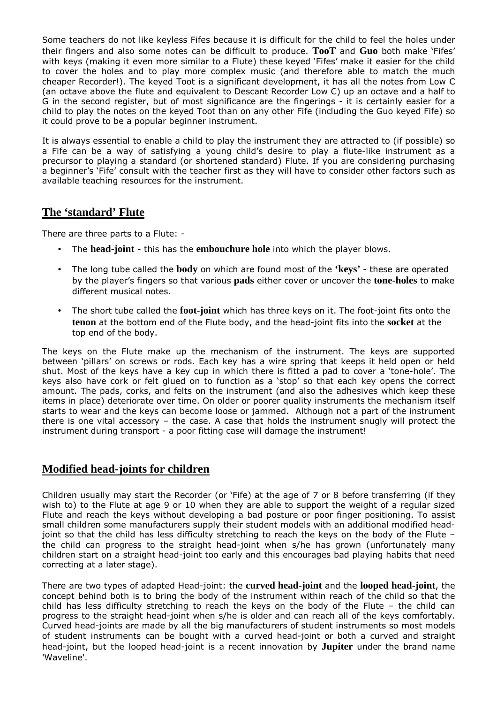Some teachers do not like keyless Fifes because it is difficult for the child to feel the holes under their fingers and also some notes can be difficult to produce. **TooT** and **Guo** both make 'Fifes' with keys (making it even more similar to a Flute) these keyed 'Fifes' make it easier for the child to cover the holes and to play more complex music (and therefore able to match the much cheaper Recorder!). The keyed Toot is a significant development, it has all the notes from Low C (an octave above the flute and equivalent to Descant Recorder Low C) up an octave and a half to G in the second register, but of most significance are the fingerings - it is certainly easier for a child to play the notes on the keyed Toot than on any other Fife (including the Guo keyed Fife) so it could prove to be a popular beginner instrument.

It is always essential to enable a child to play the instrument they are attracted to (if possible) so a Fife can be a way of satisfying a young child's desire to play a flute-like instrument as a precursor to playing a standard (or shortened standard) Flute. If you are considering purchasing a beginner's 'Fife' consult with the teacher first as they will have to consider other factors such as available teaching resources for the instrument.

### **The 'standard' Flute**

There are three parts to a Flute: -

- The **head-joint** this has the **embouchure hole** into which the player blows.
- The long tube called the **body** on which are found most of the **'keys'**  these are operated by the player's fingers so that various **pads** either cover or uncover the **tone-holes** to make different musical notes.
- The short tube called the **foot-joint** which has three keys on it. The foot-joint fits onto the **tenon** at the bottom end of the Flute body, and the head-joint fits into the **socket** at the top end of the body.

The keys on the Flute make up the mechanism of the instrument. The keys are supported between 'pillars' on screws or rods. Each key has a wire spring that keeps it held open or held shut. Most of the keys have a key cup in which there is fitted a pad to cover a 'tone-hole'. The keys also have cork or felt glued on to function as a 'stop' so that each key opens the correct amount. The pads, corks, and felts on the instrument (and also the adhesives which keep these items in place) deteriorate over time. On older or poorer quality instruments the mechanism itself starts to wear and the keys can become loose or jammed. Although not a part of the instrument there is one vital accessory – the case. A case that holds the instrument snugly will protect the instrument during transport - a poor fitting case will damage the instrument!

## **Modified head-joints for children**

Children usually may start the Recorder (or 'Fife) at the age of 7 or 8 before transferring (if they wish to) to the Flute at age 9 or 10 when they are able to support the weight of a regular sized Flute and reach the keys without developing a bad posture or poor finger positioning. To assist small children some manufacturers supply their student models with an additional modified headjoint so that the child has less difficulty stretching to reach the keys on the body of the Flute – the child can progress to the straight head-joint when s/he has grown (unfortunately many children start on a straight head-joint too early and this encourages bad playing habits that need correcting at a later stage).

There are two types of adapted Head-joint: the **curved head-joint** and the **looped head-joint**, the concept behind both is to bring the body of the instrument within reach of the child so that the child has less difficulty stretching to reach the keys on the body of the Flute – the child can progress to the straight head-joint when s/he is older and can reach all of the keys comfortably. Curved head-joints are made by all the big manufacturers of student instruments so most models of student instruments can be bought with a curved head-joint or both a curved and straight head-joint, but the looped head-joint is a recent innovation by **Jupiter** under the brand name 'Waveline'.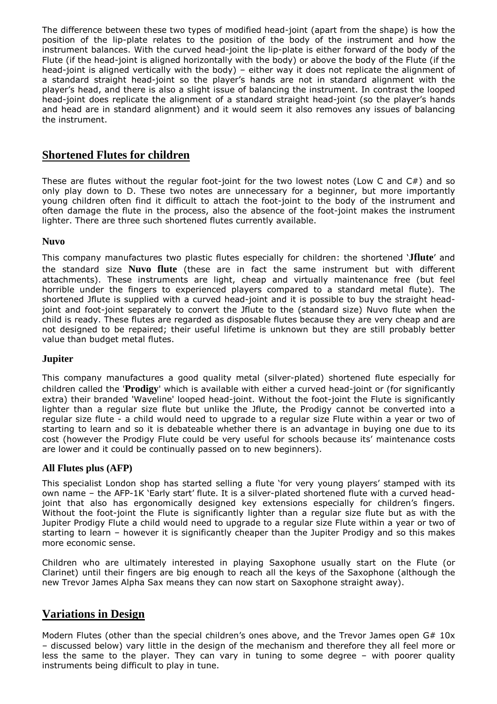The difference between these two types of modified head-joint (apart from the shape) is how the position of the lip-plate relates to the position of the body of the instrument and how the instrument balances. With the curved head-joint the lip-plate is either forward of the body of the Flute (if the head-joint is aligned horizontally with the body) or above the body of the Flute (if the head-joint is aligned vertically with the body) – either way it does not replicate the alignment of a standard straight head-joint so the player's hands are not in standard alignment with the player's head, and there is also a slight issue of balancing the instrument. In contrast the looped head-joint does replicate the alignment of a standard straight head-joint (so the player's hands and head are in standard alignment) and it would seem it also removes any issues of balancing the instrument.

### **Shortened Flutes for children**

These are flutes without the regular foot-joint for the two lowest notes (Low C and C#) and so only play down to D. These two notes are unnecessary for a beginner, but more importantly young children often find it difficult to attach the foot-joint to the body of the instrument and often damage the flute in the process, also the absence of the foot-joint makes the instrument lighter. There are three such shortened flutes currently available. ringen.<br>Dødsfall

#### **Nuvo**

This company manufactures two plastic flutes especially for children: the shortened '**Jflute**' and the standard size **Nuvo flute** (these are in fact the same instrument but with different attachments). These instruments are light, cheap and virtually maintenance free (but feel horrible under the fingers to experienced players compared to a standard metal flute). The shortened Jflute is supplied with a curved head-joint and it is possible to buy the straight headjoint and foot-joint separately to convert the Jflute to the (standard size) Nuvo flute when the child is ready. These flutes are regarded as disposable flutes because they are very cheap and are not designed to be repaired; their useful lifetime is unknown but they are still probably better value than budget metal flutes.

### **Jupiter**

This company manufactures a good quality metal (silver-plated) shortened flute especially for children called the '**Prodigy**' which is available with either a curved head-joint or (for significantly extra) their branded 'Waveline' looped head-joint. Without the foot-joint the Flute is significantly lighter than a regular size flute but unlike the Jflute, the Prodigy cannot be converted into a regular size flute - a child would need to upgrade to a regular size Flute within a year or two of starting to learn and so it is debateable whether there is an advantage in buying one due to its cost (however the Prodigy Flute could be very useful for schools because its' maintenance costs are lower and it could be continually passed on to new beginners).

#### **All Flutes plus (AFP)**

This specialist London shop has started selling a flute 'for very young players' stamped with its own name – the AFP-1K 'Early start' flute. It is a silver-plated shortened flute with a curved headjoint that also has ergonomically designed key extensions especially for children's fingers. Without the foot-joint the Flute is significantly lighter than a regular size flute but as with the Jupiter Prodigy Flute a child would need to upgrade to a regular size Flute within a year or two of starting to learn – however it is significantly cheaper than the Jupiter Prodigy and so this makes more economic sense.

Children who are ultimately interested in playing Saxophone usually start on the Flute (or Clarinet) until their fingers are big enough to reach all the keys of the Saxophone (although the new Trevor James Alpha Sax means they can now start on Saxophone straight away).

## **Variations in Design**

Modern Flutes (other than the special children's ones above, and the Trevor James open  $G# 10x$ – discussed below) vary little in the design of the mechanism and therefore they all feel more or less the same to the player. They can vary in tuning to some degree – with poorer quality instruments being difficult to play in tune.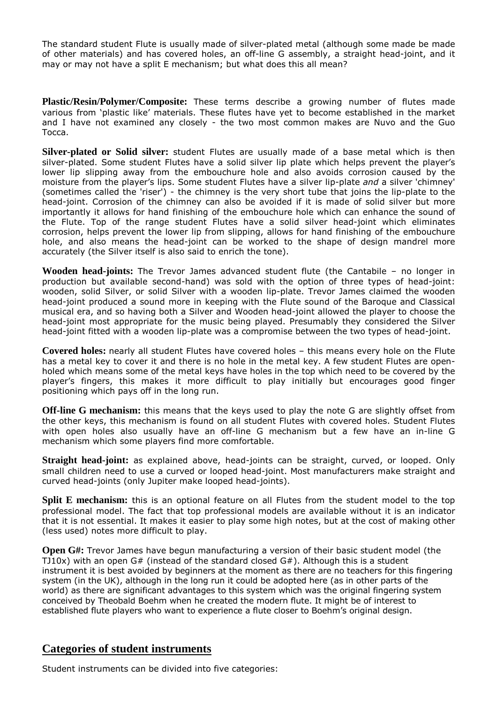The standard student Flute is usually made of silver-plated metal (although some made be made of other materials) and has covered holes, an off-line G assembly, a straight head-joint, and it may or may not have a split E mechanism; but what does this all mean?

**Plastic/Resin/Polymer/Composite:** These terms describe a growing number of flutes made various from 'plastic like' materials. These flutes have yet to become established in the market and I have not examined any closely - the two most common makes are Nuvo and the Guo Tocca.

**Silver-plated or Solid silver:** student Flutes are usually made of a base metal which is then silver-plated. Some student Flutes have a solid silver lip plate which helps prevent the player's lower lip slipping away from the embouchure hole and also avoids corrosion caused by the moisture from the player's lips. Some student Flutes have a silver lip-plate *and* a silver 'chimney' (sometimes called the 'riser') - the chimney is the very short tube that joins the lip-plate to the head-joint. Corrosion of the chimney can also be avoided if it is made of solid silver but more importantly it allows for hand finishing of the embouchure hole which can enhance the sound of the Flute. Top of the range student Flutes have a solid silver head-joint which eliminates corrosion, helps prevent the lower lip from slipping, allows for hand finishing of the embouchure hole, and also means the head-joint can be worked to the shape of design mandrel more accurately (the Silver itself is also said to enrich the tone).

**Wooden head-joints:** The Trevor James advanced student flute (the Cantabile – no longer in production but available second-hand) was sold with the option of three types of head-joint: wooden, solid Silver, or solid Silver with a wooden lip-plate. Trevor James claimed the wooden head-joint produced a sound more in keeping with the Flute sound of the Baroque and Classical musical era, and so having both a Silver and Wooden head-joint allowed the player to choose the head-joint most appropriate for the music being played. Presumably they considered the Silver head-joint fitted with a wooden lip-plate was a compromise between the two types of head-joint.

**Covered holes:** nearly all student Flutes have covered holes – this means every hole on the Flute has a metal key to cover it and there is no hole in the metal key. A few student Flutes are openholed which means some of the metal keys have holes in the top which need to be covered by the player's fingers, this makes it more difficult to play initially but encourages good finger positioning which pays off in the long run.

**Off-line G mechanism:** this means that the keys used to play the note G are slightly offset from the other keys, this mechanism is found on all student Flutes with covered holes. Student Flutes with open holes also usually have an off-line G mechanism but a few have an in-line G mechanism which some players find more comfortable.

**Straight head-joint:** as explained above, head-joints can be straight, curved, or looped. Only small children need to use a curved or looped head-joint. Most manufacturers make straight and curved head-joints (only Jupiter make looped head-joints).

**Split E mechanism:** this is an optional feature on all Flutes from the student model to the top professional model. The fact that top professional models are available without it is an indicator that it is not essential. It makes it easier to play some high notes, but at the cost of making other (less used) notes more difficult to play.

**Open G#:** Trevor James have begun manufacturing a version of their basic student model (the TJ10x) with an open  $G#$  (instead of the standard closed  $G#$ ). Although this is a student instrument it is best avoided by beginners at the moment as there are no teachers for this fingering system (in the UK), although in the long run it could be adopted here (as in other parts of the world) as there are significant advantages to this system which was the original fingering system conceived by Theobald Boehm when he created the modern flute. It might be of interest to established flute players who want to experience a flute closer to Boehm's original design.

### **Categories of student instruments**

Student instruments can be divided into five categories: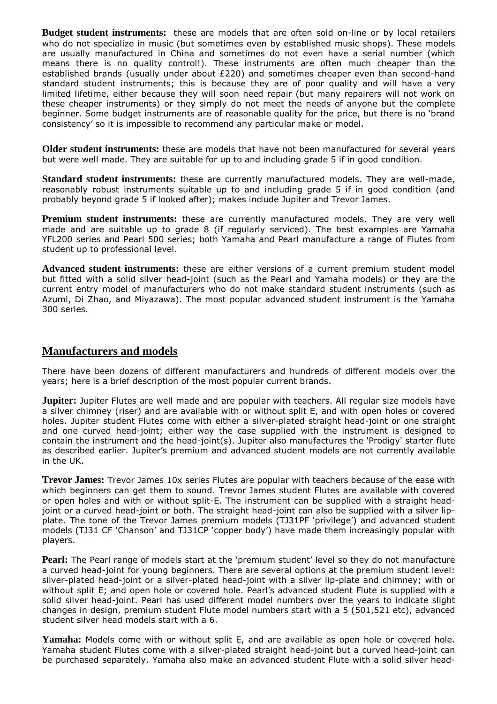**Budget student instruments:** these are models that are often sold on-line or by local retailers who do not specialize in music (but sometimes even by established music shops). These models are usually manufactured in China and sometimes do not even have a serial number (which means there is no quality control!). These instruments are often much cheaper than the established brands (usually under about £220) and sometimes cheaper even than second-hand standard student instruments; this is because they are of poor quality and will have a very limited lifetime, either because they will soon need repair (but many repairers will not work on these cheaper instruments) or they simply do not meet the needs of anyone but the complete beginner. Some budget instruments are of reasonable quality for the price, but there is no 'brand consistency' so it is impossible to recommend any particular make or model.

**Older student instruments:** these are models that have not been manufactured for several years but were well made. They are suitable for up to and including grade 5 if in good condition.

**Standard student instruments:** these are currently manufactured models. They are well-made, reasonably robust instruments suitable up to and including grade 5 if in good condition (and probably beyond grade 5 if looked after); makes include Jupiter and Trevor James.

**Premium student instruments:** these are currently manufactured models. They are very well made and are suitable up to grade 8 (if regularly serviced). The best examples are Yamaha YFL200 series and Pearl 500 series; both Yamaha and Pearl manufacture a range of Flutes from student up to professional level.

**Advanced student instruments:** these are either versions of a current premium student model but fitted with a solid silver head-joint (such as the Pearl and Yamaha models) or they are the current entry model of manufacturers who do not make standard student instruments (such as Azumi, Di Zhao, and Miyazawa). The most popular advanced student instrument is the Yamaha 300 series.

### **Manufacturers and models**

There have been dozens of different manufacturers and hundreds of different models over the years; here is a brief description of the most popular current brands.

**Jupiter:** Jupiter Flutes are well made and are popular with teachers. All regular size models have a silver chimney (riser) and are available with or without split E, and with open holes or covered holes. Jupiter student Flutes come with either a silver-plated straight head-joint or one straight and one curved head-joint; either way the case supplied with the instrument is designed to contain the instrument and the head-joint(s). Jupiter also manufactures the 'Prodigy' starter flute as described earlier. Jupiter's premium and advanced student models are not currently available in the UK.

**Trevor James:** Trevor James 10x series Flutes are popular with teachers because of the ease with which beginners can get them to sound. Trevor James student Flutes are available with covered or open holes and with or without split-E. The instrument can be supplied with a straight headjoint or a curved head-joint or both. The straight head-joint can also be supplied with a silver lipplate. The tone of the Trevor James premium models (TJ31PF 'privilege') and advanced student models (TJ31 CF 'Chanson' and TJ31CP 'copper body') have made them increasingly popular with players.

**Pearl:** The Pearl range of models start at the 'premium student' level so they do not manufacture a curved head-joint for young beginners. There are several options at the premium student level: silver-plated head-joint or a silver-plated head-joint with a silver lip-plate and chimney; with or without split E; and open hole or covered hole. Pearl's advanced student Flute is supplied with a solid silver head-joint. Pearl has used different model numbers over the years to indicate slight changes in design, premium student Flute model numbers start with a 5 (501,521 etc), advanced student silver head models start with a 6.

**Yamaha:** Models come with or without split E, and are available as open hole or covered hole. Yamaha student Flutes come with a silver-plated straight head-joint but a curved head-joint can be purchased separately. Yamaha also make an advanced student Flute with a solid silver head